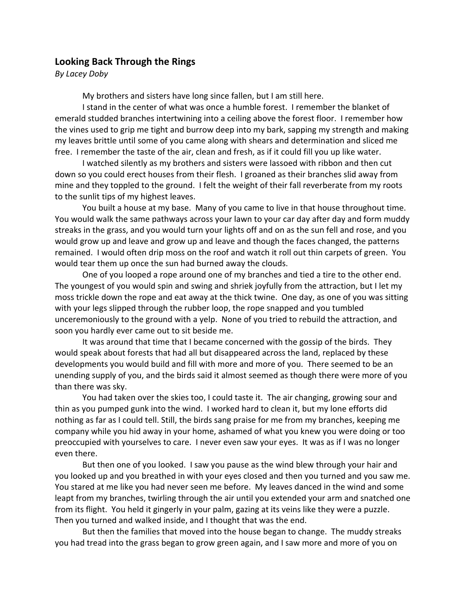## **Looking Back Through the Rings**

*By Lacey Doby*

My brothers and sisters have long since fallen, but I am still here.

I stand in the center of what was once a humble forest. I remember the blanket of emerald studded branches intertwining into a ceiling above the forest floor. I remember how the vines used to grip me tight and burrow deep into my bark, sapping my strength and making my leaves brittle until some of you came along with shears and determination and sliced me free. I remember the taste of the air, clean and fresh, as if it could fill you up like water.

I watched silently as my brothers and sisters were lassoed with ribbon and then cut down so you could erect houses from their flesh. I groaned as their branches slid away from mine and they toppled to the ground. I felt the weight of their fall reverberate from my roots to the sunlit tips of my highest leaves.

You built a house at my base. Many of you came to live in that house throughout time. You would walk the same pathways across your lawn to your car day after day and form muddy streaks in the grass, and you would turn your lights off and on as the sun fell and rose, and you would grow up and leave and grow up and leave and though the faces changed, the patterns remained. I would often drip moss on the roof and watch it roll out thin carpets of green. You would tear them up once the sun had burned away the clouds.

One of you looped a rope around one of my branches and tied a tire to the other end. The youngest of you would spin and swing and shriek joyfully from the attraction, but I let my moss trickle down the rope and eat away at the thick twine. One day, as one of you was sitting with your legs slipped through the rubber loop, the rope snapped and you tumbled unceremoniously to the ground with a yelp. None of you tried to rebuild the attraction, and soon you hardly ever came out to sit beside me.

It was around that time that I became concerned with the gossip of the birds. They would speak about forests that had all but disappeared across the land, replaced by these developments you would build and fill with more and more of you. There seemed to be an unending supply of you, and the birds said it almost seemed as though there were more of you than there was sky.

You had taken over the skies too, I could taste it. The air changing, growing sour and thin as you pumped gunk into the wind. I worked hard to clean it, but my lone efforts did nothing as far as I could tell. Still, the birds sang praise for me from my branches, keeping me company while you hid away in your home, ashamed of what you knew you were doing or too preoccupied with yourselves to care. I never even saw your eyes. It was as if I was no longer even there.

But then one of you looked. I saw you pause as the wind blew through your hair and you looked up and you breathed in with your eyes closed and then you turned and you saw me. You stared at me like you had never seen me before. My leaves danced in the wind and some leapt from my branches, twirling through the air until you extended your arm and snatched one from its flight. You held it gingerly in your palm, gazing at its veins like they were a puzzle. Then you turned and walked inside, and I thought that was the end.

But then the families that moved into the house began to change. The muddy streaks you had tread into the grass began to grow green again, and I saw more and more of you on